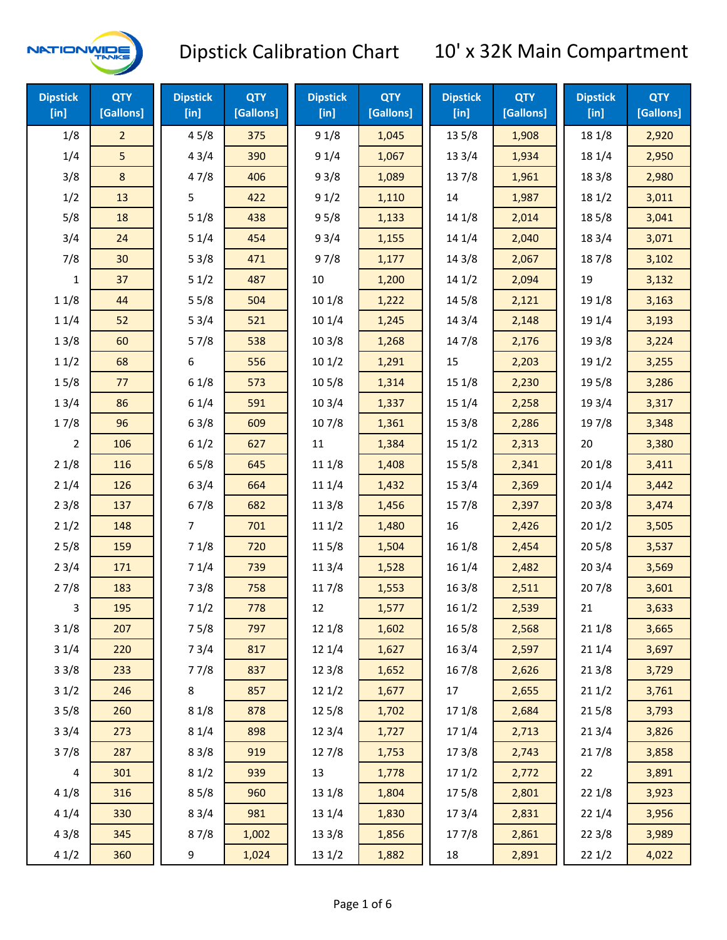

| <b>Dipstick</b><br>[in] | <b>QTY</b><br>[Gallons] | <b>Dipstick</b><br>$[$ in] | <b>QTY</b><br>[Gallons] | <b>Dipstick</b><br>[in] | <b>QTY</b><br>[Gallons] | <b>Dipstick</b><br>[in] | <b>QTY</b><br>[Gallons] | <b>Dipstick</b><br>[in] | <b>QTY</b><br>[Gallons] |
|-------------------------|-------------------------|----------------------------|-------------------------|-------------------------|-------------------------|-------------------------|-------------------------|-------------------------|-------------------------|
| 1/8                     | $\overline{2}$          | 45/8                       | 375                     | 91/8                    | 1,045                   | 135/8                   | 1,908                   | 18 1/8                  | 2,920                   |
| 1/4                     | 5                       | 43/4                       | 390                     | 91/4                    | 1,067                   | 13 3/4                  | 1,934                   | 18 1/4                  | 2,950                   |
| 3/8                     | 8                       | 47/8                       | 406                     | 93/8                    | 1,089                   | 137/8                   | 1,961                   | 18 3/8                  | 2,980                   |
| 1/2                     | 13                      | 5                          | 422                     | 91/2                    | 1,110                   | 14                      | 1,987                   | 18 1/2                  | 3,011                   |
| 5/8                     | 18                      | 51/8                       | 438                     | 95/8                    | 1,133                   | 14 1/8                  | 2,014                   | 185/8                   | 3,041                   |
| 3/4                     | 24                      | 51/4                       | 454                     | 93/4                    | 1,155                   | 14 1/4                  | 2,040                   | 18 3/4                  | 3,071                   |
| 7/8                     | 30                      | 53/8                       | 471                     | 97/8                    | 1,177                   | 14 3/8                  | 2,067                   | 187/8                   | 3,102                   |
| 1                       | 37                      | 51/2                       | 487                     | 10                      | 1,200                   | 141/2                   | 2,094                   | 19                      | 3,132                   |
| 11/8                    | 44                      | 55/8                       | 504                     | 101/8                   | 1,222                   | 14 5/8                  | 2,121                   | 19 1/8                  | 3,163                   |
| 11/4                    | 52                      | 53/4                       | 521                     | 101/4                   | 1,245                   | 14 3/4                  | 2,148                   | 19 1/4                  | 3,193                   |
| 13/8                    | 60                      | 57/8                       | 538                     | 103/8                   | 1,268                   | 147/8                   | 2,176                   | 19 3/8                  | 3,224                   |
| 11/2                    | 68                      | 6                          | 556                     | 101/2                   | 1,291                   | 15                      | 2,203                   | 19 1/2                  | 3,255                   |
| 15/8                    | 77                      | 61/8                       | 573                     | 10 <sub>5</sub> /8      | 1,314                   | 15 1/8                  | 2,230                   | 19 5/8                  | 3,286                   |
| 13/4                    | 86                      | 61/4                       | 591                     | 103/4                   | 1,337                   | 15 1/4                  | 2,258                   | 19 3/4                  | 3,317                   |
| 17/8                    | 96                      | 63/8                       | 609                     | 107/8                   | 1,361                   | 153/8                   | 2,286                   | 197/8                   | 3,348                   |
| 2                       | 106                     | 61/2                       | 627                     | 11                      | 1,384                   | 151/2                   | 2,313                   | 20                      | 3,380                   |
| 21/8                    | 116                     | 65/8                       | 645                     | 11 1/8                  | 1,408                   | 15 5/8                  | 2,341                   | 201/8                   | 3,411                   |
| 21/4                    | 126                     | 63/4                       | 664                     | 11 1/4                  | 1,432                   | 153/4                   | 2,369                   | 201/4                   | 3,442                   |
| 23/8                    | 137                     | 67/8                       | 682                     | 11 3/8                  | 1,456                   | 15 7/8                  | 2,397                   | 203/8                   | 3,474                   |
| 21/2                    | 148                     | $\overline{7}$             | 701                     | 111/2                   | 1,480                   | 16                      | 2,426                   | 201/2                   | 3,505                   |
| 25/8                    | 159                     | 71/8                       | 720                     | 11 5/8                  | 1,504                   | 16 1/8                  | 2,454                   | 205/8                   | 3,537                   |
| 23/4                    | 171                     | 71/4                       | 739                     | 11 3/4                  | 1,528                   | 16 1/4                  | 2,482                   | 203/4                   | 3,569                   |
| 27/8                    | 183                     | 73/8                       | 758                     | 117/8                   | 1,553                   | 163/8                   | 2,511                   | 207/8                   | 3,601                   |
| 3                       | 195                     | 71/2                       | 778                     | 12                      | 1,577                   | 161/2                   | 2,539                   | 21                      | 3,633                   |
| 31/8                    | 207                     | 75/8                       | 797                     | 12 1/8                  | 1,602                   | 16 5/8                  | 2,568                   | 21 1/8                  | 3,665                   |
| 31/4                    | 220                     | 73/4                       | 817                     | 12 1/4                  | 1,627                   | 16 3/4                  | 2,597                   | 21 1/4                  | 3,697                   |
| 33/8                    | 233                     | 77/8                       | 837                     | 12 3/8                  | 1,652                   | 16 7/8                  | 2,626                   | 213/8                   | 3,729                   |
| 31/2                    | 246                     | 8                          | 857                     | 12 1/2                  | 1,677                   | 17                      | 2,655                   | 211/2                   | 3,761                   |
| 35/8                    | 260                     | 81/8                       | 878                     | 125/8                   | 1,702                   | 17 1/8                  | 2,684                   | 215/8                   | 3,793                   |
| 33/4                    | 273                     | 81/4                       | 898                     | 12 3/4                  | 1,727                   | 17 1/4                  | 2,713                   | 213/4                   | 3,826                   |
| 37/8                    | 287                     | 83/8                       | 919                     | 127/8                   | 1,753                   | 173/8                   | 2,743                   | 217/8                   | 3,858                   |
| $\overline{\mathbf{4}}$ | 301                     | 81/2                       | 939                     | 13                      | 1,778                   | 171/2                   | 2,772                   | 22                      | 3,891                   |
| 41/8                    | 316                     | 85/8                       | 960                     | 13 1/8                  | 1,804                   | 175/8                   | 2,801                   | 22 1/8                  | 3,923                   |
| 41/4                    | 330                     | 83/4                       | 981                     | 13 1/4                  | 1,830                   | 17 3/4                  | 2,831                   | 221/4                   | 3,956                   |
| 43/8                    | 345                     | 87/8                       | 1,002                   | 13 3/8                  | 1,856                   | 177/8                   | 2,861                   | 223/8                   | 3,989                   |
| 41/2                    | 360                     | 9                          | 1,024                   | 13 1/2                  | 1,882                   | 18                      | 2,891                   | 221/2                   | 4,022                   |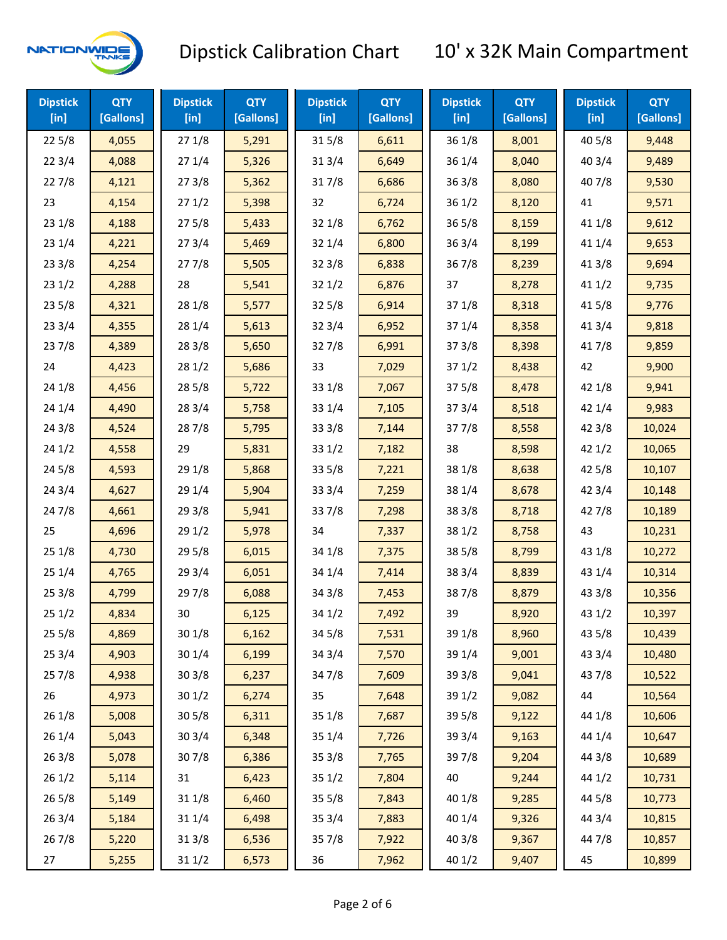

| <b>Dipstick</b><br>$[$ in] | <b>QTY</b><br>[Gallons] | <b>Dipstick</b><br>$[$ in] | <b>QTY</b><br>[Gallons] | <b>Dipstick</b><br>$[$ in] | <b>QTY</b><br>[Gallons] | <b>Dipstick</b><br>$[$ in] | <b>QTY</b><br>[Gallons] | <b>Dipstick</b><br>$[$ in] | <b>QTY</b><br>[Gallons] |
|----------------------------|-------------------------|----------------------------|-------------------------|----------------------------|-------------------------|----------------------------|-------------------------|----------------------------|-------------------------|
| 225/8                      | 4,055                   | 271/8                      | 5,291                   | 315/8                      | 6,611                   | 36 1/8                     | 8,001                   | 40 5/8                     | 9,448                   |
| 223/4                      | 4,088                   | 271/4                      | 5,326                   | 31 3/4                     | 6,649                   | 36 1/4                     | 8,040                   | 403/4                      | 9,489                   |
| 227/8                      | 4,121                   | 273/8                      | 5,362                   | 317/8                      | 6,686                   | 363/8                      | 8,080                   | 407/8                      | 9,530                   |
| 23                         | 4,154                   | 271/2                      | 5,398                   | 32                         | 6,724                   | 361/2                      | 8,120                   | 41                         | 9,571                   |
| 231/8                      | 4,188                   | 275/8                      | 5,433                   | 32 1/8                     | 6,762                   | $36\,5/8$                  | 8,159                   | 41 1/8                     | 9,612                   |
| 231/4                      | 4,221                   | 273/4                      | 5,469                   | 32 1/4                     | 6,800                   | 363/4                      | 8,199                   | 41 1/4                     | 9,653                   |
| 233/8                      | 4,254                   | 277/8                      | 5,505                   | 32 3/8                     | 6,838                   | 36 7/8                     | 8,239                   | 41 3/8                     | 9,694                   |
| 231/2                      | 4,288                   | 28                         | 5,541                   | 321/2                      | 6,876                   | 37                         | 8,278                   | 411/2                      | 9,735                   |
| 235/8                      | 4,321                   | 28 1/8                     | 5,577                   | 325/8                      | 6,914                   | 371/8                      | 8,318                   | 41 5/8                     | 9,776                   |
| 233/4                      | 4,355                   | 28 1/4                     | 5,613                   | 32 3/4                     | 6,952                   | 37 1/4                     | 8,358                   | 41 3/4                     | 9,818                   |
| 237/8                      | 4,389                   | 28 3/8                     | 5,650                   | 327/8                      | 6,991                   | 373/8                      | 8,398                   | 417/8                      | 9,859                   |
| 24                         | 4,423                   | 281/2                      | 5,686                   | 33                         | 7,029                   | 371/2                      | 8,438                   | 42                         | 9,900                   |
| 24 1/8                     | 4,456                   | 28 5/8                     | 5,722                   | 33 1/8                     | 7,067                   | 375/8                      | 8,478                   | 42 1/8                     | 9,941                   |
| 241/4                      | 4,490                   | 28 3/4                     | 5,758                   | 33 1/4                     | 7,105                   | 373/4                      | 8,518                   | 42 1/4                     | 9,983                   |
| 243/8                      | 4,524                   | 28 7/8                     | 5,795                   | 33 3/8                     | 7,144                   | 377/8                      | 8,558                   | 42 3/8                     | 10,024                  |
| 241/2                      | 4,558                   | 29                         | 5,831                   | 33 1/2                     | 7,182                   | 38                         | 8,598                   | 42 1/2                     | 10,065                  |
| 245/8                      | 4,593                   | 29 1/8                     | 5,868                   | 33 5/8                     | 7,221                   | 38 1/8                     | 8,638                   | 42 5/8                     | 10,107                  |
| 243/4                      | 4,627                   | 29 1/4                     | 5,904                   | 33 3/4                     | 7,259                   | 38 1/4                     | 8,678                   | 42 3/4                     | 10,148                  |
| 24 7/8                     | 4,661                   | 293/8                      | 5,941                   | 337/8                      | 7,298                   | 38 3/8                     | 8,718                   | 42 7/8                     | 10,189                  |
| 25                         | 4,696                   | 291/2                      | 5,978                   | 34                         | 7,337                   | 38 1/2                     | 8,758                   | 43                         | 10,231                  |
| 251/8                      | 4,730                   | 29 5/8                     | 6,015                   | 34 1/8                     | 7,375                   | 385/8                      | 8,799                   | 43 1/8                     | 10,272                  |
| 251/4                      | 4,765                   | 29 3/4                     | 6,051                   | 34 1/4                     | 7,414                   | 38 3/4                     | 8,839                   | 43 1/4                     | 10,314                  |
| 253/8                      | 4,799                   | 297/8                      | 6,088                   | 34 3/8                     | 7,453                   | 387/8                      | 8,879                   | 43 3/8                     | 10,356                  |
| 251/2                      | 4,834                   | 30                         | 6,125                   | 34 1/2                     | 7,492                   | 39                         | 8,920                   | 43 1/2                     | 10,397                  |
| 255/8                      | 4,869                   | 30 1/8                     | 6,162                   | 34 5/8                     | 7,531                   | 39 1/8                     | 8,960                   | 43 5/8                     | 10,439                  |
| 253/4                      | 4,903                   | 30 1/4                     | 6,199                   | 34 3/4                     | 7,570                   | 39 1/4                     | 9,001                   | 43 3/4                     | 10,480                  |
| 257/8                      | 4,938                   | 303/8                      | 6,237                   | 347/8                      | 7,609                   | 39 3/8                     | 9,041                   | 437/8                      | 10,522                  |
| 26                         | 4,973                   | 301/2                      | 6,274                   | 35                         | 7,648                   | 39 1/2                     | 9,082                   | 44                         | 10,564                  |
| 261/8                      | 5,008                   | 305/8                      | 6,311                   | 35 1/8                     | 7,687                   | 39 5/8                     | 9,122                   | 44 1/8                     | 10,606                  |
| 261/4                      | 5,043                   | 30 3/4                     | 6,348                   | 35 1/4                     | 7,726                   | 39 3/4                     | 9,163                   | 44 1/4                     | 10,647                  |
| 263/8                      | 5,078                   | 307/8                      | 6,386                   | 35 3/8                     | 7,765                   | 397/8                      | 9,204                   | 44 3/8                     | 10,689                  |
| 261/2                      | 5,114                   | 31                         | 6,423                   | 35 1/2                     | 7,804                   | 40                         | 9,244                   | 44 1/2                     | 10,731                  |
| 265/8                      | 5,149                   | 31 1/8                     | 6,460                   | 35 5/8                     | 7,843                   | 40 1/8                     | 9,285                   | 44 5/8                     | 10,773                  |
| 263/4                      | 5,184                   | 31 1/4                     | 6,498                   | 35 3/4                     | 7,883                   | 40 1/4                     | 9,326                   | 44 3/4                     | 10,815                  |
| 267/8                      | 5,220                   | 313/8                      | 6,536                   | 357/8                      | 7,922                   | 40 3/8                     | 9,367                   | 447/8                      | 10,857                  |
| 27                         | 5,255                   | 31 1/2                     | 6,573                   | 36                         | 7,962                   | 40 1/2                     | 9,407                   | 45                         | 10,899                  |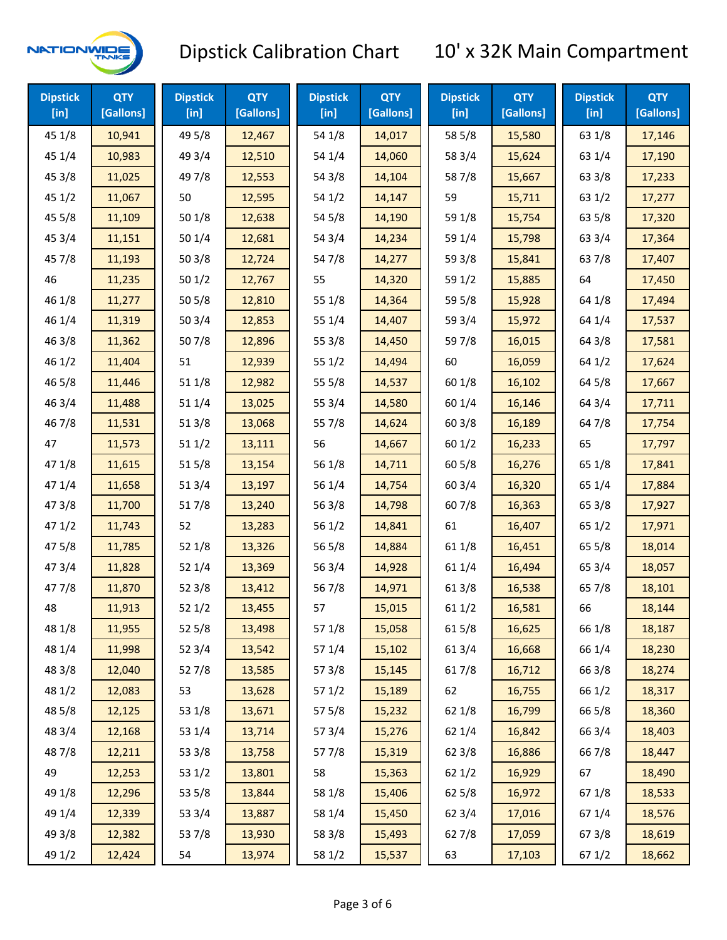

| <b>Dipstick</b><br>$[$ in] | <b>QTY</b><br>[Gallons] | <b>Dipstick</b><br>$[$ in] | <b>QTY</b><br>[Gallons] | <b>Dipstick</b><br>$[$ in] | <b>QTY</b><br>[Gallons] | <b>Dipstick</b><br>$[$ in] | <b>QTY</b><br>[Gallons] | <b>Dipstick</b><br>$[$ in] | <b>QTY</b><br>[Gallons] |
|----------------------------|-------------------------|----------------------------|-------------------------|----------------------------|-------------------------|----------------------------|-------------------------|----------------------------|-------------------------|
| 45 1/8                     | 10,941                  | 49 5/8                     | 12,467                  | 54 1/8                     | 14,017                  | 58 5/8                     | 15,580                  | 63 1/8                     | 17,146                  |
| 45 1/4                     | 10,983                  | 49 3/4                     | 12,510                  | 54 1/4                     | 14,060                  | 58 3/4                     | 15,624                  | 63 1/4                     | 17,190                  |
| 45 3/8                     | 11,025                  | 49 7/8                     | 12,553                  | 54 3/8                     | 14,104                  | 587/8                      | 15,667                  | 63 3/8                     | 17,233                  |
| 45 1/2                     | 11,067                  | 50                         | 12,595                  | 54 1/2                     | 14,147                  | 59                         | 15,711                  | 63 1/2                     | 17,277                  |
| 45 5/8                     | 11,109                  | 50 1/8                     | 12,638                  | 54 5/8                     | 14,190                  | 59 1/8                     | 15,754                  | 63 5/8                     | 17,320                  |
| 45 3/4                     | 11,151                  | 501/4                      | 12,681                  | 54 3/4                     | 14,234                  | 59 1/4                     | 15,798                  | 63 3/4                     | 17,364                  |
| 45 7/8                     | 11,193                  | 503/8                      | 12,724                  | 547/8                      | 14,277                  | 59 3/8                     | 15,841                  | 637/8                      | 17,407                  |
| 46                         | 11,235                  | 501/2                      | 12,767                  | 55                         | 14,320                  | 59 1/2                     | 15,885                  | 64                         | 17,450                  |
| 46 1/8                     | 11,277                  | 505/8                      | 12,810                  | 55 1/8                     | 14,364                  | 59 5/8                     | 15,928                  | 64 1/8                     | 17,494                  |
| 46 1/4                     | 11,319                  | 50 3/4                     | 12,853                  | 55 1/4                     | 14,407                  | 59 3/4                     | 15,972                  | 64 1/4                     | 17,537                  |
| 463/8                      | 11,362                  | 507/8                      | 12,896                  | 55 3/8                     | 14,450                  | 597/8                      | 16,015                  | 64 3/8                     | 17,581                  |
| 46 1/2                     | 11,404                  | 51                         | 12,939                  | 551/2                      | 14,494                  | 60                         | 16,059                  | 64 1/2                     | 17,624                  |
| 46 5/8                     | 11,446                  | 51 1/8                     | 12,982                  | 55 5/8                     | 14,537                  | 60 1/8                     | 16,102                  | 64 5/8                     | 17,667                  |
| 46 3/4                     | 11,488                  | 51 1/4                     | 13,025                  | 55 3/4                     | 14,580                  | 60 1/4                     | 16,146                  | 64 3/4                     | 17,711                  |
| 46 7/8                     | 11,531                  | 513/8                      | 13,068                  | 55 7/8                     | 14,624                  | 603/8                      | 16,189                  | 647/8                      | 17,754                  |
| 47                         | 11,573                  | 511/2                      | 13,111                  | 56                         | 14,667                  | 601/2                      | 16,233                  | 65                         | 17,797                  |
| 47 1/8                     | 11,615                  | 515/8                      | 13,154                  | 56 1/8                     | 14,711                  | 60 5/8                     | 16,276                  | 65 1/8                     | 17,841                  |
| 47 1/4                     | 11,658                  | 51 3/4                     | 13,197                  | 56 1/4                     | 14,754                  | 60 3/4                     | 16,320                  | 65 1/4                     | 17,884                  |
| 47 3/8                     | 11,700                  | 517/8                      | 13,240                  | 56 3/8                     | 14,798                  | 607/8                      | 16,363                  | 65 3/8                     | 17,927                  |
| 47 1/2                     | 11,743                  | 52                         | 13,283                  | 56 1/2                     | 14,841                  | 61                         | 16,407                  | 65 1/2                     | 17,971                  |
| 475/8                      | 11,785                  | 521/8                      | 13,326                  | 56 5/8                     | 14,884                  | 61 1/8                     | 16,451                  | 65 5/8                     | 18,014                  |
| 47 3/4                     | 11,828                  | 52 1/4                     | 13,369                  | 56 3/4                     | 14,928                  | 61 1/4                     | 16,494                  | 65 3/4                     | 18,057                  |
| 477/8                      | 11,870                  | 52 3/8                     | 13,412                  | 567/8                      | 14,971                  | 61 3/8                     | 16,538                  | 65 7/8                     | 18,101                  |
| 48                         | 11,913                  | 521/2                      | 13,455                  | 57                         | 15,015                  | 611/2                      | 16,581                  | 66                         | 18,144                  |
| 48 1/8                     | 11,955                  | 52 5/8                     | 13,498                  | 57 1/8                     | 15,058                  | 615/8                      | 16,625                  | 66 1/8                     | 18,187                  |
| 48 1/4                     | 11,998                  | 52 3/4                     | 13,542                  | 57 1/4                     | 15,102                  | 613/4                      | 16,668                  | 66 1/4                     | 18,230                  |
| 48 3/8                     | 12,040                  | 527/8                      | 13,585                  | 57 3/8                     | 15,145                  | 617/8                      | 16,712                  | 66 3/8                     | 18,274                  |
| 48 1/2                     | 12,083                  | 53                         | 13,628                  | 57 1/2                     | 15,189                  | 62                         | 16,755                  | 66 1/2                     | 18,317                  |
| 48 5/8                     | 12,125                  | 53 1/8                     | 13,671                  | 57 5/8                     | 15,232                  | 62 1/8                     | 16,799                  | 66 5/8                     | 18,360                  |
| 48 3/4                     | 12,168                  | 53 1/4                     | 13,714                  | 573/4                      | 15,276                  | 62 1/4                     | 16,842                  | 66 3/4                     | 18,403                  |
| 487/8                      | 12,211                  | 53 3/8                     | 13,758                  | 577/8                      | 15,319                  | 62 3/8                     | 16,886                  | 667/8                      | 18,447                  |
| 49                         | 12,253                  | 53 1/2                     | 13,801                  | 58                         | 15,363                  | 62 1/2                     | 16,929                  | 67                         | 18,490                  |
| 49 1/8                     | 12,296                  | 53 5/8                     | 13,844                  | 58 1/8                     | 15,406                  | 62 5/8                     | 16,972                  | 671/8                      | 18,533                  |
| 49 1/4                     | 12,339                  | 53 3/4                     | 13,887                  | 58 1/4                     | 15,450                  | 62 3/4                     | 17,016                  | 67 1/4                     | 18,576                  |
| 49 3/8                     | 12,382                  | 537/8                      | 13,930                  | 58 3/8                     | 15,493                  | 627/8                      | 17,059                  | 673/8                      | 18,619                  |
| 49 1/2                     | 12,424                  | 54                         | 13,974                  | 58 1/2                     | 15,537                  | 63                         | 17,103                  | 67 1/2                     | 18,662                  |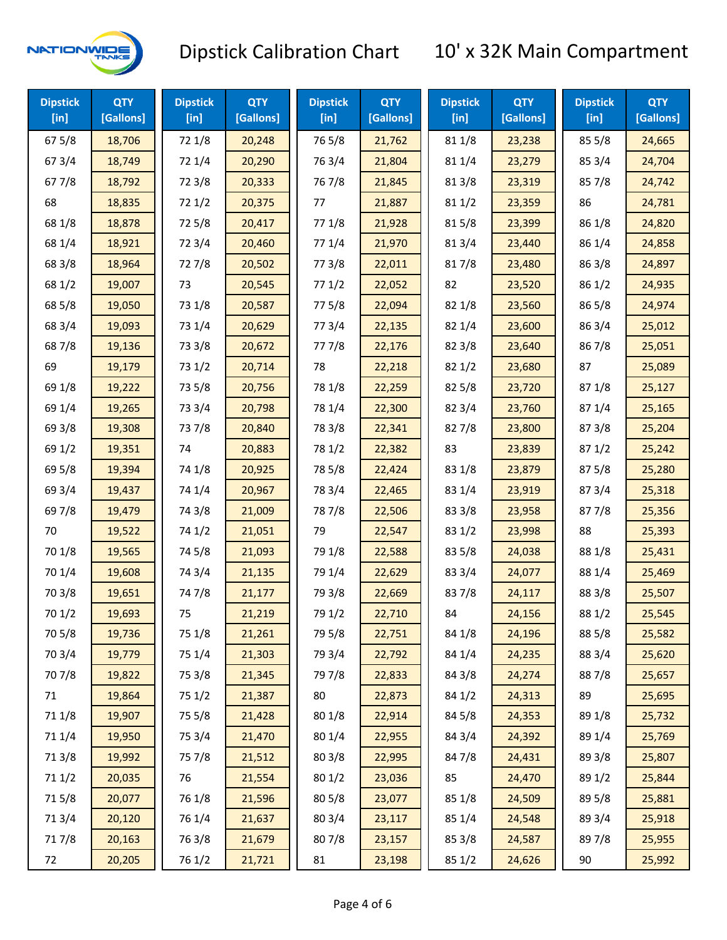

| <b>Dipstick</b><br>$[$ in] | <b>QTY</b><br>[Gallons] | <b>Dipstick</b><br>$[$ in] | <b>QTY</b><br>[Gallons] | <b>Dipstick</b><br>$[$ in] | <b>QTY</b><br>[Gallons] | <b>Dipstick</b><br>$[$ in] | <b>QTY</b><br>[Gallons] | <b>Dipstick</b><br>$[$ in] | <b>QTY</b><br>[Gallons] |
|----------------------------|-------------------------|----------------------------|-------------------------|----------------------------|-------------------------|----------------------------|-------------------------|----------------------------|-------------------------|
| 67 5/8                     | 18,706                  | 72 1/8                     | 20,248                  | 765/8                      | 21,762                  | 81 1/8                     | 23,238                  | 85 5/8                     | 24,665                  |
| 673/4                      | 18,749                  | 72 1/4                     | 20,290                  | 763/4                      | 21,804                  | 81 1/4                     | 23,279                  | 85 3/4                     | 24,704                  |
| 677/8                      | 18,792                  | 72 3/8                     | 20,333                  | 767/8                      | 21,845                  | 81 3/8                     | 23,319                  | 85 7/8                     | 24,742                  |
| 68                         | 18,835                  | 721/2                      | 20,375                  | 77                         | 21,887                  | 81 1/2                     | 23,359                  | 86                         | 24,781                  |
| 68 1/8                     | 18,878                  | 725/8                      | 20,417                  | 77 1/8                     | 21,928                  | 815/8                      | 23,399                  | 86 1/8                     | 24,820                  |
| 68 1/4                     | 18,921                  | 72 3/4                     | 20,460                  | 77 1/4                     | 21,970                  | 813/4                      | 23,440                  | 86 1/4                     | 24,858                  |
| 68 3/8                     | 18,964                  | 727/8                      | 20,502                  | 77 3/8                     | 22,011                  | 817/8                      | 23,480                  | 86 3/8                     | 24,897                  |
| 68 1/2                     | 19,007                  | 73                         | 20,545                  | 771/2                      | 22,052                  | 82                         | 23,520                  | 86 1/2                     | 24,935                  |
| 68 5/8                     | 19,050                  | 73 1/8                     | 20,587                  | 775/8                      | 22,094                  | 82 1/8                     | 23,560                  | 86 5/8                     | 24,974                  |
| 68 3/4                     | 19,093                  | 73 1/4                     | 20,629                  | 773/4                      | 22,135                  | 82 1/4                     | 23,600                  | 86 3/4                     | 25,012                  |
| 687/8                      | 19,136                  | 73 3/8                     | 20,672                  | 777/8                      | 22,176                  | 82 3/8                     | 23,640                  | 867/8                      | 25,051                  |
| 69                         | 19,179                  | 73 1/2                     | 20,714                  | 78                         | 22,218                  | 821/2                      | 23,680                  | 87                         | 25,089                  |
| 69 1/8                     | 19,222                  | 73 5/8                     | 20,756                  | 78 1/8                     | 22,259                  | 82 5/8                     | 23,720                  | 871/8                      | 25,127                  |
| 69 1/4                     | 19,265                  | 73 3/4                     | 20,798                  | 78 1/4                     | 22,300                  | 82 3/4                     | 23,760                  | 871/4                      | 25,165                  |
| 69 3/8                     | 19,308                  | 737/8                      | 20,840                  | 78 3/8                     | 22,341                  | 827/8                      | 23,800                  | 87 3/8                     | 25,204                  |
| 69 1/2                     | 19,351                  | 74                         | 20,883                  | 78 1/2                     | 22,382                  | 83                         | 23,839                  | 871/2                      | 25,242                  |
| 69 5/8                     | 19,394                  | 74 1/8                     | 20,925                  | 78 5/8                     | 22,424                  | 83 1/8                     | 23,879                  | 875/8                      | 25,280                  |
| 69 3/4                     | 19,437                  | 74 1/4                     | 20,967                  | 78 3/4                     | 22,465                  | 83 1/4                     | 23,919                  | 87 3/4                     | 25,318                  |
| 697/8                      | 19,479                  | 74 3/8                     | 21,009                  | 787/8                      | 22,506                  | 83 3/8                     | 23,958                  | 877/8                      | 25,356                  |
| 70                         | 19,522                  | 74 1/2                     | 21,051                  | 79                         | 22,547                  | 83 1/2                     | 23,998                  | 88                         | 25,393                  |
| 70 1/8                     | 19,565                  | 74 5/8                     | 21,093                  | 79 1/8                     | 22,588                  | 83 5/8                     | 24,038                  | 88 1/8                     | 25,431                  |
| 70 1/4                     | 19,608                  | 74 3/4                     | 21,135                  | 79 1/4                     | 22,629                  | 83 3/4                     | 24,077                  | 88 1/4                     | 25,469                  |
| 70 3/8                     | 19,651                  | 747/8                      | 21,177                  | 79 3/8                     | 22,669                  | 837/8                      | 24,117                  | 88 3/8                     | 25,507                  |
| 70 1/2                     | 19,693                  | 75                         | 21,219                  | 79 1/2                     | 22,710                  | 84                         | 24,156                  | 88 1/2                     | 25,545                  |
| 70 5/8                     | 19,736                  | 75 1/8                     | 21,261                  | 79 5/8                     | 22,751                  | 84 1/8                     | 24,196                  | 88 5/8                     | 25,582                  |
| 70 3/4                     | 19,779                  | 75 1/4                     | 21,303                  | 79 3/4                     | 22,792                  | 84 1/4                     | 24,235                  | 88 3/4                     | 25,620                  |
| 70 7/8                     | 19,822                  | 75 3/8                     | 21,345                  | 79 7/8                     | 22,833                  | 84 3/8                     | 24,274                  | 887/8                      | 25,657                  |
| 71                         | 19,864                  | 75 1/2                     | 21,387                  | 80                         | 22,873                  | 84 1/2                     | 24,313                  | 89                         | 25,695                  |
| 71 1/8                     | 19,907                  | 75 5/8                     | 21,428                  | 80 1/8                     | 22,914                  | 84 5/8                     | 24,353                  | 89 1/8                     | 25,732                  |
| 71 1/4                     | 19,950                  | 75 3/4                     | 21,470                  | 80 1/4                     | 22,955                  | 84 3/4                     | 24,392                  | 89 1/4                     | 25,769                  |
| 713/8                      | 19,992                  | 75 7/8                     | 21,512                  | 80 3/8                     | 22,995                  | 847/8                      | 24,431                  | 89 3/8                     | 25,807                  |
| 71 1/2                     | 20,035                  | 76                         | 21,554                  | 80 1/2                     | 23,036                  | 85                         | 24,470                  | 89 1/2                     | 25,844                  |
| 715/8                      | 20,077                  | 76 1/8                     | 21,596                  | 80 5/8                     | 23,077                  | 85 1/8                     | 24,509                  | 89 5/8                     | 25,881                  |
| 713/4                      | 20,120                  | 76 1/4                     | 21,637                  | 80 3/4                     | 23,117                  | 85 1/4                     | 24,548                  | 89 3/4                     | 25,918                  |
| 717/8                      | 20,163                  | 763/8                      | 21,679                  | 807/8                      | 23,157                  | 85 3/8                     | 24,587                  | 897/8                      | 25,955                  |
| 72                         | 20,205                  | 76 1/2                     | 21,721                  | 81                         | 23,198                  | 85 1/2                     | 24,626                  | 90                         | 25,992                  |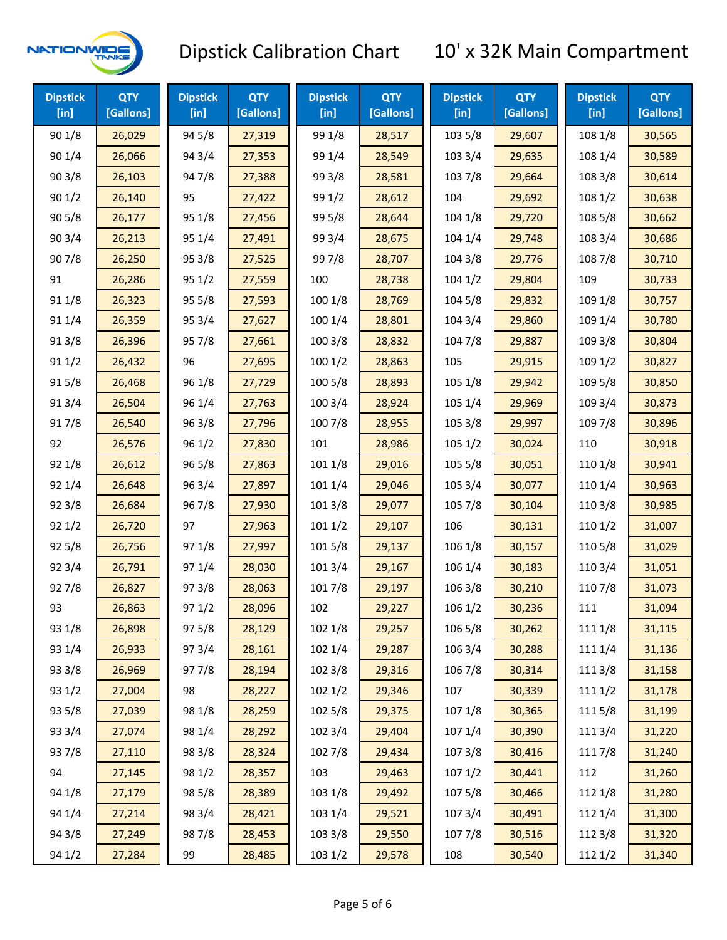

| <b>Dipstick</b><br>[in] | <b>QTY</b><br>[Gallons] | <b>Dipstick</b><br>[in] | <b>QTY</b><br>[Gallons] | <b>Dipstick</b><br>[in] | <b>QTY</b><br>[Gallons] | <b>Dipstick</b><br>[in] | <b>QTY</b><br>[Gallons] | <b>Dipstick</b><br>[in] | <b>QTY</b><br>[Gallons] |
|-------------------------|-------------------------|-------------------------|-------------------------|-------------------------|-------------------------|-------------------------|-------------------------|-------------------------|-------------------------|
| 90 1/8                  | 26,029                  | 94 5/8                  | 27,319                  | 99 1/8                  | 28,517                  | 103 5/8                 | 29,607                  | 108 1/8                 | 30,565                  |
| 90 1/4                  | 26,066                  | 94 3/4                  | 27,353                  | 99 1/4                  | 28,549                  | 103 3/4                 | 29,635                  | 108 1/4                 | 30,589                  |
| 903/8                   | 26,103                  | 947/8                   | 27,388                  | 99 3/8                  | 28,581                  | 103 7/8                 | 29,664                  | 108 3/8                 | 30,614                  |
| 901/2                   | 26,140                  | 95                      | 27,422                  | 99 1/2                  | 28,612                  | 104                     | 29,692                  | 108 1/2                 | 30,638                  |
| 905/8                   | 26,177                  | 95 1/8                  | 27,456                  | 99 5/8                  | 28,644                  | 104 1/8                 | 29,720                  | 108 5/8                 | 30,662                  |
| 903/4                   | 26,213                  | 95 1/4                  | 27,491                  | 99 3/4                  | 28,675                  | 104 1/4                 | 29,748                  | 108 3/4                 | 30,686                  |
| 907/8                   | 26,250                  | 95 3/8                  | 27,525                  | 997/8                   | 28,707                  | 104 3/8                 | 29,776                  | 108 7/8                 | 30,710                  |
| 91                      | 26,286                  | 95 1/2                  | 27,559                  | 100                     | 28,738                  | 1041/2                  | 29,804                  | 109                     | 30,733                  |
| 91 1/8                  | 26,323                  | 95 5/8                  | 27,593                  | 100 1/8                 | 28,769                  | 104 5/8                 | 29,832                  | 109 1/8                 | 30,757                  |
| 91 1/4                  | 26,359                  | 95 3/4                  | 27,627                  | 100 1/4                 | 28,801                  | 104 3/4                 | 29,860                  | 109 1/4                 | 30,780                  |
| 91 3/8                  | 26,396                  | 957/8                   | 27,661                  | 100 3/8                 | 28,832                  | 104 7/8                 | 29,887                  | 109 3/8                 | 30,804                  |
| 91 1/2                  | 26,432                  | 96                      | 27,695                  | 1001/2                  | 28,863                  | 105                     | 29,915                  | 109 1/2                 | 30,827                  |
| 915/8                   | 26,468                  | 96 1/8                  | 27,729                  | 100 5/8                 | 28,893                  | 105 1/8                 | 29,942                  | 109 5/8                 | 30,850                  |
| 913/4                   | 26,504                  | 96 1/4                  | 27,763                  | 100 3/4                 | 28,924                  | 105 1/4                 | 29,969                  | 109 3/4                 | 30,873                  |
| 917/8                   | 26,540                  | 963/8                   | 27,796                  | 100 7/8                 | 28,955                  | 105 3/8                 | 29,997                  | 109 7/8                 | 30,896                  |
| 92                      | 26,576                  | 96 1/2                  | 27,830                  | 101                     | 28,986                  | 105 1/2                 | 30,024                  | 110                     | 30,918                  |
| 92 1/8                  | 26,612                  | 96 5/8                  | 27,863                  | 101 1/8                 | 29,016                  | 105 5/8                 | 30,051                  | 110 1/8                 | 30,941                  |
| 92 1/4                  | 26,648                  | 96 3/4                  | 27,897                  | 101 1/4                 | 29,046                  | 105 3/4                 | 30,077                  | 110 1/4                 | 30,963                  |
| 92 3/8                  | 26,684                  | 967/8                   | 27,930                  | 101 3/8                 | 29,077                  | 105 7/8                 | 30,104                  | 110 3/8                 | 30,985                  |
| 921/2                   | 26,720                  | 97                      | 27,963                  | 1011/2                  | 29,107                  | 106                     | 30,131                  | 110 1/2                 | 31,007                  |
| 925/8                   | 26,756                  | 97 1/8                  | 27,997                  | 101 5/8                 | 29,137                  | 106 1/8                 | 30,157                  | 110 5/8                 | 31,029                  |
| 92 3/4                  | 26,791                  | 97 1/4                  | 28,030                  | 101 3/4                 | 29,167                  | 106 1/4                 | 30,183                  | 110 3/4                 | 31,051                  |
| 927/8                   | 26,827                  | 973/8                   | 28,063                  | 101 7/8                 | 29,197                  | 106 3/8                 | 30,210                  | 110 7/8                 | 31,073                  |
| 93                      | 26,863                  | 971/2                   | 28,096                  | 102                     | 29,227                  | 106 1/2                 | 30,236                  | 111                     | 31,094                  |
| 93 1/8                  | 26,898                  | 97 5/8                  | 28,129                  | 102 1/8                 | 29,257                  | 106 5/8                 | 30,262                  | 111 1/8                 | 31,115                  |
| 93 1/4                  | 26,933                  | 973/4                   | 28,161                  | 102 1/4                 | 29,287                  | 106 3/4                 | 30,288                  | 111 1/4                 | 31,136                  |
| 93 3/8                  | 26,969                  | 977/8                   | 28,194                  | 102 3/8                 | 29,316                  | 106 7/8                 | 30,314                  | 111 3/8                 | 31,158                  |
| 93 1/2                  | 27,004                  | 98                      | 28,227                  | 1021/2                  | 29,346                  | 107                     | 30,339                  | 111 1/2                 | 31,178                  |
| 93 5/8                  | 27,039                  | 98 1/8                  | 28,259                  | 102 5/8                 | 29,375                  | 107 1/8                 | 30,365                  | 1115/8                  | 31,199                  |
| 93 3/4                  | 27,074                  | 98 1/4                  | 28,292                  | 102 3/4                 | 29,404                  | 107 1/4                 | 30,390                  | 111 3/4                 | 31,220                  |
| 937/8                   | 27,110                  | 98 3/8                  | 28,324                  | 102 7/8                 | 29,434                  | 1073/8                  | 30,416                  | 111 7/8                 | 31,240                  |
| 94                      | 27,145                  | 98 1/2                  | 28,357                  | 103                     | 29,463                  | 1071/2                  | 30,441                  | 112                     | 31,260                  |
| 94 1/8                  | 27,179                  | 98 5/8                  | 28,389                  | 103 1/8                 | 29,492                  | 1075/8                  | 30,466                  | 112 1/8                 | 31,280                  |
| 94 1/4                  | 27,214                  | 98 3/4                  | 28,421                  | 103 1/4                 | 29,521                  | 107 3/4                 | 30,491                  | 112 1/4                 | 31,300                  |
| 94 3/8                  | 27,249                  | 987/8                   | 28,453                  | 103 3/8                 | 29,550                  | 1077/8                  | 30,516                  | 112 3/8                 | 31,320                  |
| 94 1/2                  | 27,284                  | 99                      | 28,485                  | 103 1/2                 | 29,578                  | 108                     | 30,540                  | 112 1/2                 | 31,340                  |